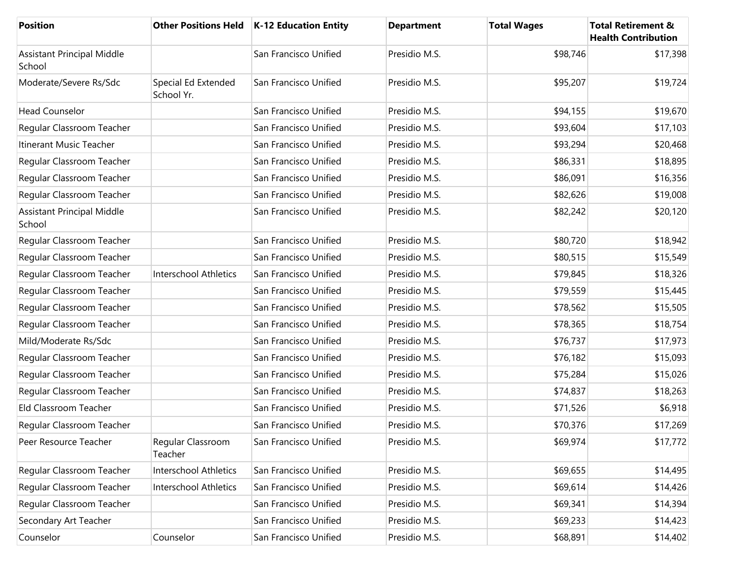| <b>Position</b>                             |                                   | Other Positions Held   K-12 Education Entity | <b>Department</b> | <b>Total Wages</b> | <b>Total Retirement &amp;</b><br><b>Health Contribution</b> |
|---------------------------------------------|-----------------------------------|----------------------------------------------|-------------------|--------------------|-------------------------------------------------------------|
| <b>Assistant Principal Middle</b><br>School |                                   | San Francisco Unified                        | Presidio M.S.     | \$98,746           | \$17,398                                                    |
| Moderate/Severe Rs/Sdc                      | Special Ed Extended<br>School Yr. | San Francisco Unified                        | Presidio M.S.     | \$95,207           | \$19,724                                                    |
| <b>Head Counselor</b>                       |                                   | San Francisco Unified                        | Presidio M.S.     | \$94,155           | \$19,670                                                    |
| Regular Classroom Teacher                   |                                   | San Francisco Unified                        | Presidio M.S.     | \$93,604           | \$17,103                                                    |
| Itinerant Music Teacher                     |                                   | San Francisco Unified                        | Presidio M.S.     | \$93,294           | \$20,468                                                    |
| Regular Classroom Teacher                   |                                   | San Francisco Unified                        | Presidio M.S.     | \$86,331           | \$18,895                                                    |
| Regular Classroom Teacher                   |                                   | San Francisco Unified                        | Presidio M.S.     | \$86,091           | \$16,356                                                    |
| Regular Classroom Teacher                   |                                   | San Francisco Unified                        | Presidio M.S.     | \$82,626           | \$19,008                                                    |
| <b>Assistant Principal Middle</b><br>School |                                   | San Francisco Unified                        | Presidio M.S.     | \$82,242           | \$20,120                                                    |
| Regular Classroom Teacher                   |                                   | San Francisco Unified                        | Presidio M.S.     | \$80,720           | \$18,942                                                    |
| Regular Classroom Teacher                   |                                   | San Francisco Unified                        | Presidio M.S.     | \$80,515           | \$15,549                                                    |
| Regular Classroom Teacher                   | <b>Interschool Athletics</b>      | San Francisco Unified                        | Presidio M.S.     | \$79,845           | \$18,326                                                    |
| Regular Classroom Teacher                   |                                   | San Francisco Unified                        | Presidio M.S.     | \$79,559           | \$15,445                                                    |
| Regular Classroom Teacher                   |                                   | San Francisco Unified                        | Presidio M.S.     | \$78,562           | \$15,505                                                    |
| Regular Classroom Teacher                   |                                   | San Francisco Unified                        | Presidio M.S.     | \$78,365           | \$18,754                                                    |
| Mild/Moderate Rs/Sdc                        |                                   | San Francisco Unified                        | Presidio M.S.     | \$76,737           | \$17,973                                                    |
| Regular Classroom Teacher                   |                                   | San Francisco Unified                        | Presidio M.S.     | \$76,182           | \$15,093                                                    |
| Regular Classroom Teacher                   |                                   | San Francisco Unified                        | Presidio M.S.     | \$75,284           | \$15,026                                                    |
| Regular Classroom Teacher                   |                                   | San Francisco Unified                        | Presidio M.S.     | \$74,837           | \$18,263                                                    |
| Eld Classroom Teacher                       |                                   | San Francisco Unified                        | Presidio M.S.     | \$71,526           | \$6,918                                                     |
| Regular Classroom Teacher                   |                                   | San Francisco Unified                        | Presidio M.S.     | \$70,376           | \$17,269                                                    |
| Peer Resource Teacher                       | Regular Classroom<br>Teacher      | San Francisco Unified                        | Presidio M.S.     | \$69,974           | \$17,772                                                    |
| Regular Classroom Teacher                   | <b>Interschool Athletics</b>      | San Francisco Unified                        | Presidio M.S.     | \$69,655           | \$14,495                                                    |
| Regular Classroom Teacher                   | Interschool Athletics             | San Francisco Unified                        | Presidio M.S.     | \$69,614           | \$14,426                                                    |
| Regular Classroom Teacher                   |                                   | San Francisco Unified                        | Presidio M.S.     | \$69,341           | \$14,394                                                    |
| Secondary Art Teacher                       |                                   | San Francisco Unified                        | Presidio M.S.     | \$69,233           | \$14,423                                                    |
| Counselor                                   | Counselor                         | San Francisco Unified                        | Presidio M.S.     | \$68,891           | \$14,402                                                    |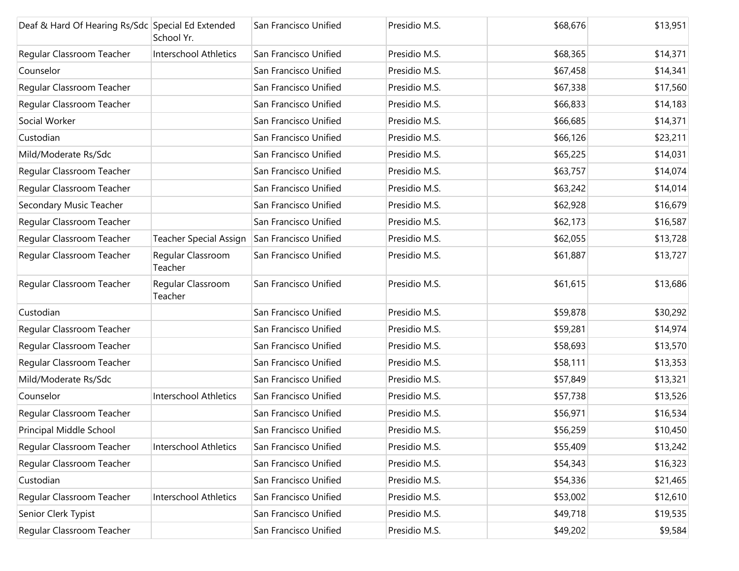| Deaf & Hard Of Hearing Rs/Sdc Special Ed Extended | School Yr.                    | San Francisco Unified | Presidio M.S. | \$68,676 | \$13,951 |
|---------------------------------------------------|-------------------------------|-----------------------|---------------|----------|----------|
| Regular Classroom Teacher                         | <b>Interschool Athletics</b>  | San Francisco Unified | Presidio M.S. | \$68,365 | \$14,371 |
| Counselor                                         |                               | San Francisco Unified | Presidio M.S. | \$67,458 | \$14,341 |
| Regular Classroom Teacher                         |                               | San Francisco Unified | Presidio M.S. | \$67,338 | \$17,560 |
| Regular Classroom Teacher                         |                               | San Francisco Unified | Presidio M.S. | \$66,833 | \$14,183 |
| Social Worker                                     |                               | San Francisco Unified | Presidio M.S. | \$66,685 | \$14,371 |
| Custodian                                         |                               | San Francisco Unified | Presidio M.S. | \$66,126 | \$23,211 |
| Mild/Moderate Rs/Sdc                              |                               | San Francisco Unified | Presidio M.S. | \$65,225 | \$14,031 |
| Regular Classroom Teacher                         |                               | San Francisco Unified | Presidio M.S. | \$63,757 | \$14,074 |
| Regular Classroom Teacher                         |                               | San Francisco Unified | Presidio M.S. | \$63,242 | \$14,014 |
| Secondary Music Teacher                           |                               | San Francisco Unified | Presidio M.S. | \$62,928 | \$16,679 |
| Regular Classroom Teacher                         |                               | San Francisco Unified | Presidio M.S. | \$62,173 | \$16,587 |
| Regular Classroom Teacher                         | <b>Teacher Special Assign</b> | San Francisco Unified | Presidio M.S. | \$62,055 | \$13,728 |
| Regular Classroom Teacher                         | Regular Classroom<br>Teacher  | San Francisco Unified | Presidio M.S. | \$61,887 | \$13,727 |
| Regular Classroom Teacher                         | Regular Classroom<br>Teacher  | San Francisco Unified | Presidio M.S. | \$61,615 | \$13,686 |
| Custodian                                         |                               | San Francisco Unified | Presidio M.S. | \$59,878 | \$30,292 |
| Regular Classroom Teacher                         |                               | San Francisco Unified | Presidio M.S. | \$59,281 | \$14,974 |
| Regular Classroom Teacher                         |                               | San Francisco Unified | Presidio M.S. | \$58,693 | \$13,570 |
| Regular Classroom Teacher                         |                               | San Francisco Unified | Presidio M.S. | \$58,111 | \$13,353 |
| Mild/Moderate Rs/Sdc                              |                               | San Francisco Unified | Presidio M.S. | \$57,849 | \$13,321 |
| Counselor                                         | Interschool Athletics         | San Francisco Unified | Presidio M.S. | \$57,738 | \$13,526 |
| Regular Classroom Teacher                         |                               | San Francisco Unified | Presidio M.S. | \$56,971 | \$16,534 |
| Principal Middle School                           |                               | San Francisco Unified | Presidio M.S. | \$56,259 | \$10,450 |
| Regular Classroom Teacher                         | Interschool Athletics         | San Francisco Unified | Presidio M.S. | \$55,409 | \$13,242 |
| Regular Classroom Teacher                         |                               | San Francisco Unified | Presidio M.S. | \$54,343 | \$16,323 |
| Custodian                                         |                               | San Francisco Unified | Presidio M.S. | \$54,336 | \$21,465 |
| Regular Classroom Teacher                         | <b>Interschool Athletics</b>  | San Francisco Unified | Presidio M.S. | \$53,002 | \$12,610 |
| Senior Clerk Typist                               |                               | San Francisco Unified | Presidio M.S. | \$49,718 | \$19,535 |
| Regular Classroom Teacher                         |                               | San Francisco Unified | Presidio M.S. | \$49,202 | \$9,584  |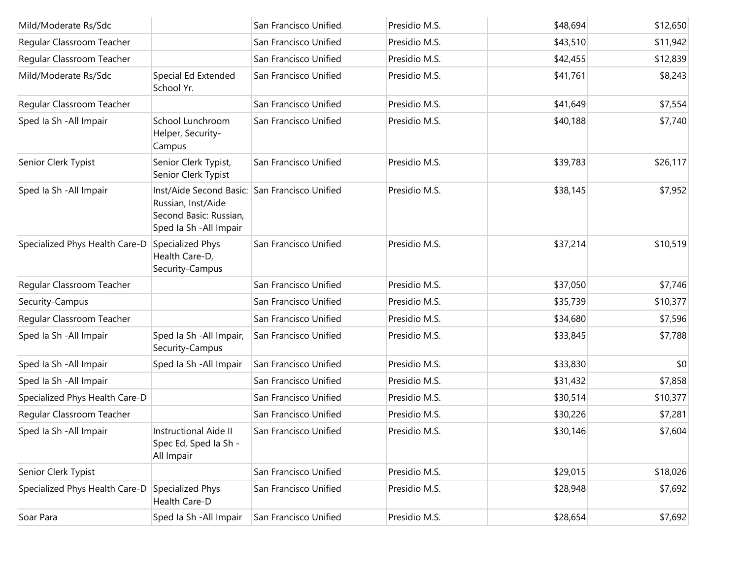| Mild/Moderate Rs/Sdc           |                                                                                                                          | San Francisco Unified | Presidio M.S. | \$48,694 | \$12,650 |
|--------------------------------|--------------------------------------------------------------------------------------------------------------------------|-----------------------|---------------|----------|----------|
| Regular Classroom Teacher      |                                                                                                                          | San Francisco Unified | Presidio M.S. | \$43,510 | \$11,942 |
| Regular Classroom Teacher      |                                                                                                                          | San Francisco Unified | Presidio M.S. | \$42,455 | \$12,839 |
| Mild/Moderate Rs/Sdc           | Special Ed Extended<br>School Yr.                                                                                        | San Francisco Unified | Presidio M.S. | \$41,761 | \$8,243  |
| Regular Classroom Teacher      |                                                                                                                          | San Francisco Unified | Presidio M.S. | \$41,649 | \$7,554  |
| Sped Ia Sh - All Impair        | School Lunchroom<br>Helper, Security-<br>Campus                                                                          | San Francisco Unified | Presidio M.S. | \$40,188 | \$7,740  |
| Senior Clerk Typist            | Senior Clerk Typist,<br>Senior Clerk Typist                                                                              | San Francisco Unified | Presidio M.S. | \$39,783 | \$26,117 |
| Sped Ia Sh - All Impair        | Inst/Aide Second Basic: San Francisco Unified<br>Russian, Inst/Aide<br>Second Basic: Russian,<br>Sped la Sh - All Impair |                       | Presidio M.S. | \$38,145 | \$7,952  |
| Specialized Phys Health Care-D | Specialized Phys<br>Health Care-D,<br>Security-Campus                                                                    | San Francisco Unified | Presidio M.S. | \$37,214 | \$10,519 |
| Regular Classroom Teacher      |                                                                                                                          | San Francisco Unified | Presidio M.S. | \$37,050 | \$7,746  |
| Security-Campus                |                                                                                                                          | San Francisco Unified | Presidio M.S. | \$35,739 | \$10,377 |
| Regular Classroom Teacher      |                                                                                                                          | San Francisco Unified | Presidio M.S. | \$34,680 | \$7,596  |
| Sped Ia Sh - All Impair        | Sped Ia Sh - All Impair,<br>Security-Campus                                                                              | San Francisco Unified | Presidio M.S. | \$33,845 | \$7,788  |
| Sped Ia Sh - All Impair        | Sped Ia Sh - All Impair                                                                                                  | San Francisco Unified | Presidio M.S. | \$33,830 | \$0      |
| Sped Ia Sh - All Impair        |                                                                                                                          | San Francisco Unified | Presidio M.S. | \$31,432 | \$7,858  |
| Specialized Phys Health Care-D |                                                                                                                          | San Francisco Unified | Presidio M.S. | \$30,514 | \$10,377 |
| Regular Classroom Teacher      |                                                                                                                          | San Francisco Unified | Presidio M.S. | \$30,226 | \$7,281  |
| Sped Ia Sh - All Impair        | <b>Instructional Aide II</b><br>Spec Ed, Sped Ia Sh -<br>All Impair                                                      | San Francisco Unified | Presidio M.S. | \$30,146 | \$7,604  |
| Senior Clerk Typist            |                                                                                                                          | San Francisco Unified | Presidio M.S. | \$29,015 | \$18,026 |
| Specialized Phys Health Care-D | Specialized Phys<br>Health Care-D                                                                                        | San Francisco Unified | Presidio M.S. | \$28,948 | \$7,692  |
| Soar Para                      | Sped Ia Sh - All Impair                                                                                                  | San Francisco Unified | Presidio M.S. | \$28,654 | \$7,692  |